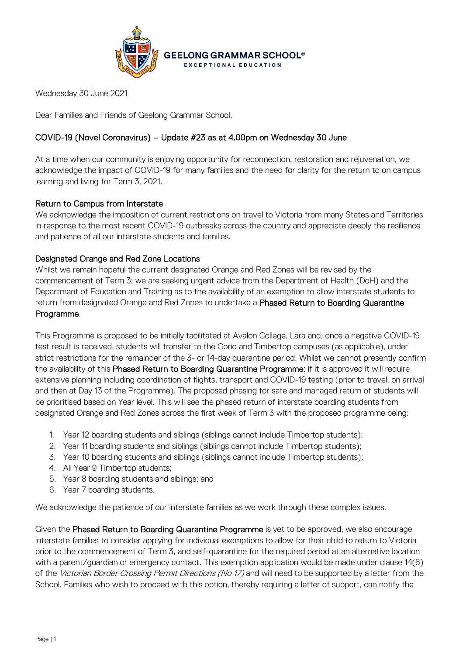

Wednesday 30 June 2021

Dear Families and Friends of Geelong Grammar School,

# COVID-19 (Novel Coronavirus) – Update #23 as at 4.00pm on Wednesday 30 June

At a time when our community is enjoying opportunity for reconnection, restoration and rejuvenation, we acknowledge the impact of COVID-19 for many families and the need for clarity for the return to on campus learning and living for Term 3, 2021.

## Return to Campus from Interstate

We acknowledge the imposition of current restrictions on travel to Victoria from many States and Territories in response to the most recent COVID-19 outbreaks across the country and appreciate deeply the resilience and patience of all our interstate students and families.

## Designated Orange and Red Zone Locations

Whilst we remain hopeful the current designated Orange and Red Zones will be revised by the commencement of Term 3; we are seeking urgent advice from the Department of Health (DoH) and the Department of Education and Training as to the availability of an exemption to allow interstate students to return from designated Orange and Red Zones to undertake a Phased Return to Boarding Quarantine Programme.

This Programme is proposed to be initially facilitated at Avalon College, Lara and, once a negative COVID-19 test result is received, students will transfer to the Corio and Timbertop campuses (as applicable), under strict restrictions for the remainder of the 3- or 14-day quarantine period. Whilst we cannot presently confirm the availability of this Phased Return to Boarding Quarantine Programme; if it is approved it will require extensive planning including coordination of flights, transport and COVID-19 testing (prior to travel, on arrival and then at Day 13 of the Programme). The proposed phasing for safe and managed return of students will be prioritised based on Year level. This will see the phased return of interstate boarding students from designated Orange and Red Zones across the first week of Term 3 with the proposed programme being:

- 1. Year 12 boarding students and siblings (siblings cannot include Timbertop students);
- 2. Year 11 boarding students and siblings (siblings cannot include Timbertop students);
- 3. Year 10 boarding students and siblings (siblings cannot include Timbertop students);
- 4. All Year 9 Timbertop students;
- 5. Year 8 boarding students and siblings; and
- 6. Year 7 boarding students.

We acknowledge the patience of our interstate families as we work through these complex issues.

Given the Phased Return to Boarding Quarantine Programme is yet to be approved, we also encourage interstate families to consider applying for individual exemptions to allow for their child to return to Victoria prior to the commencement of Term 3, and self-quarantine for the required period at an alternative location with a parent/guardian or emergency contact. This exemption application would be made under clause 14(6) of the Victorian Border Crossing Permit Directions (No 17) and will need to be supported by a letter from the School. Families who wish to proceed with this option, thereby requiring a letter of support, can notify the